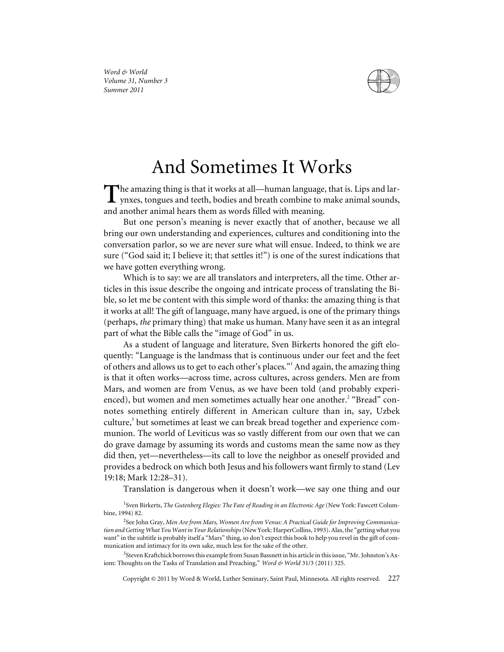

## And Sometimes It Works

The amazing thing is that it works at all—human language, that is. Lips and lar-<br>ynxes, tongues and teeth, bodies and breath combine to make animal sounds, and another animal hears them as words filled with meaning.

But one person's meaning is never exactly that of another, because we all bring our own understanding and experiences, cultures and conditioning into the conversation parlor, so we are never sure what will ensue. Indeed, to think we are sure ("God said it; I believe it; that settles it!") is one of the surest indications that we have gotten everything wrong.

Which is to say: we are all translators and interpreters, all the time. Other articles in this issue describe the ongoing and intricate process of translating the Bible, so let me be content with this simple word of thanks: the amazing thing is that it works at all! The gift of language, many have argued, is one of the primary things (perhaps, *the* primary thing) that make us human. Many have seen it as an integral part of what the Bible calls the "image of God" in us.

As a student of language and literature, Sven Birkerts honored the gift eloquently: "Language is the landmass that is continuous under our feet and the feet of others and allows us to get to each other's places."<sup>1</sup> And again, the amazing thing is that it often works—across time, across cultures, across genders. Men are from Mars, and women are from Venus, as we have been told (and probably experienced), but women and men sometimes actually hear one another.<sup>2</sup> "Bread" connotes something entirely different in American culture than in, say, Uzbek culture,<sup>3</sup> but sometimes at least we can break bread together and experience communion. The world of Leviticus was so vastly different from our own that we can do grave damage by assuming its words and customs mean the same now as they did then, yet—nevertheless—its call to love the neighbor as oneself provided and provides a bedrock on which both Jesus and his followers want firmly to stand (Lev 19:18; Mark 12:28–31).

Translation is dangerous when it doesn't work—we say one thing and our

<sup>1</sup> Sven Birkerts, *The Gutenberg Elegies: The Fate of Reading in an Electronic Age* (New York: Fawcett Columbine, 1994) 82.

<sup>3</sup>Steven Kraftchick borrows this example from Susan Bassnett in his article in this issue, "Mr. Johnston's Axiom: Thoughts on the Tasks of Translation and Preaching," *Word & World* 31/3 (2011) 325.

Copyright © 2011 by Word & World, Luther Seminary, Saint Paul, Minnesota. All rights reserved. 227

<sup>2</sup> See John Gray, *Men Are from Mars, Women Are from Venus: A Practical Guide for Improving Communication and Getting What You Want in Your Relationships*(New York: HarperCollins, 1993). Alas, the "getting what you want" in the subtitle is probably itself a "Mars" thing, so don't expect this book to help you revel in the gift of communication and intimacy for its own sake, much less for the sake of the other.